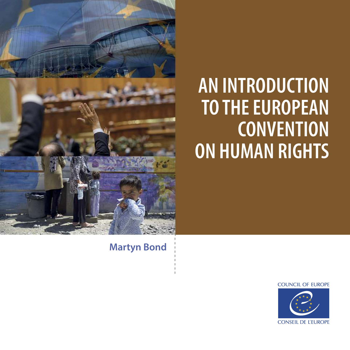

# **AN INTRODUCTION TO THE EUROPEAN CONVENTION ON HUMAN RIGHTS**

**Martyn Bond**

**COUNCIL OF EUROPE** 

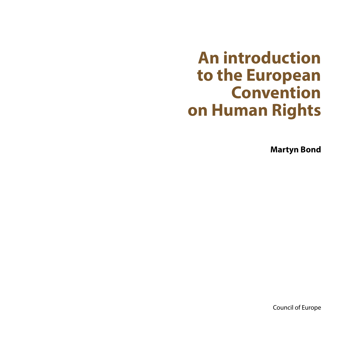# **An introduction to the European Convention on Human Rights**

**Martyn Bond**

Council of Europe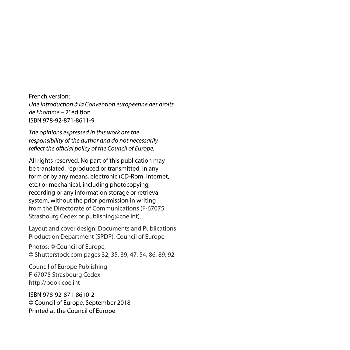French version: *Une introduction à la Convention européenne des droits de l'homme –* 2ª édition ISBN 978-92-871-8611-9

*The opinions expressed in this work are the responsibility of the author and do not necessarily reflect the official policy of the Council of Europe.*

All rights reserved. No part of this publication may be translated, reproduced or transmitted, in any form or by any means, electronic (CD-Rom, internet, etc.) or mechanical, including photocopying, recording or any information storage or retrieval system, without the prior permission in writing from the Directorate of Communications (F-67075 Strasbourg Cedex or publishing@coe.int).

Layout and cover design: Documents and Publications Production Department (SPDP), Council of Europe

Photos: © Council of Europe, © Shutterstock.com pages 32, 35, 39, 47, 54, 86, 89, 92

Council of Europe Publishing F-67075 Strasbourg Cedex http://book.coe.int

ISBN 978-92-871-8610-2 © Council of Europe, September 2018 Printed at the Council of Europe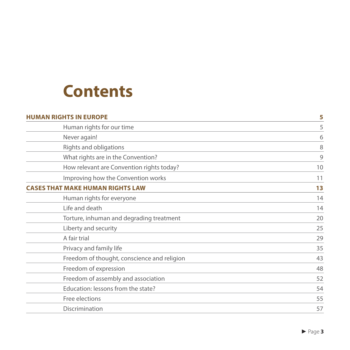

| <b>HUMAN RIGHTS IN EUROPE</b>               | 5  |
|---------------------------------------------|----|
| Human rights for our time                   | 5  |
| Never again!                                | 6  |
| Rights and obligations                      | 8  |
| What rights are in the Convention?          | 9  |
| How relevant are Convention rights today?   | 10 |
| Improving how the Convention works          | 11 |
| <b>ASES THAT MAKE HUMAN RIGHTS LAW</b>      | 13 |
| Human rights for everyone                   | 14 |
| Life and death                              | 14 |
| Torture, inhuman and degrading treatment    | 20 |
| Liberty and security                        | 25 |
| A fair trial                                | 29 |
| Privacy and family life                     | 35 |
| Freedom of thought, conscience and religion | 43 |
| Freedom of expression                       | 48 |
| Freedom of assembly and association         | 52 |
| Education: lessons from the state?          | 54 |
| Free elections                              | 55 |
| Discrimination                              | 57 |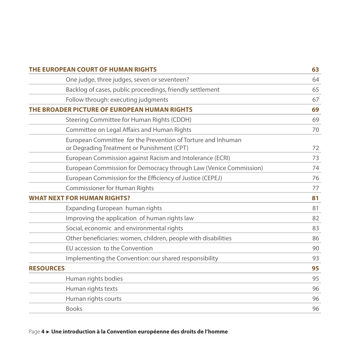| THE EUROPEAN COURT OF HUMAN RIGHTS           |                                                                                                            | 63 |
|----------------------------------------------|------------------------------------------------------------------------------------------------------------|----|
|                                              | One judge, three judges, seven or seventeen?                                                               | 64 |
|                                              | Backlog of cases, public proceedings, friendly settlement                                                  | 65 |
|                                              | Follow through: executing judgments                                                                        | 67 |
| THE BROADER PICTURE OF EUROPEAN HUMAN RIGHTS |                                                                                                            | 69 |
|                                              | Steering Committee for Human Rights (CDDH)                                                                 | 69 |
|                                              | Committee on Legal Affairs and Human Rights                                                                | 70 |
|                                              | European Committee for the Prevention of Torture and Inhuman<br>or Degrading Treatment or Punishment (CPT) | 72 |
|                                              | European Commission against Racism and Intolerance (ECRI)                                                  | 73 |
|                                              | European Commission for Democracy through Law (Venice Commission)                                          | 74 |
|                                              | European Commission for the Efficiency of Justice (CEPEJ)                                                  | 76 |
|                                              | <b>Commissioner for Human Rights</b>                                                                       | 77 |
| <b>WHAT NEXT FOR HUMAN RIGHTS?</b>           |                                                                                                            | 81 |
|                                              | Expanding European human rights                                                                            | 81 |
|                                              | Improving the application of human rights law                                                              | 82 |
|                                              | Social, economic and environmental rights                                                                  | 83 |
|                                              | Other beneficiaries: women, children, people with disabilities                                             | 86 |
|                                              | EU accession to the Convention                                                                             | 90 |
|                                              | Implementing the Convention: our shared responsibility                                                     | 93 |
| <b>RESOURCES</b>                             |                                                                                                            | 95 |
|                                              | Human rights bodies                                                                                        | 95 |
|                                              | Human rights texts                                                                                         | 96 |
|                                              | Human rights courts                                                                                        | 96 |
|                                              | <b>Books</b>                                                                                               | 96 |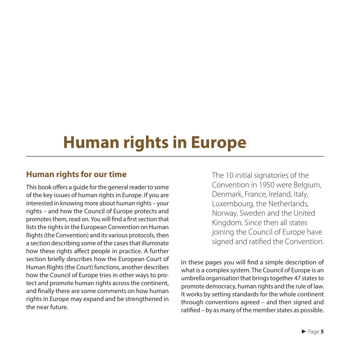# **Human rights in Europe**

# **Human rights for our time**

This book offers a guide for the general reader to some of the key issues of human rights in Europe. If you are interested in knowing more about human rights – your rights – and how the Council of Europe protects and promotes them, read on. You will find a first section that lists the rights in the European Convention on Human Rights (the Convention) and its various protocols, then a section describing some of the cases that illuminate how these rights affect people in practice. A further section briefly describes how the European Court of Human Rights (the Court) functions, another describes how the Council of Europe tries in other ways to protect and promote human rights across the continent, and finally there are some comments on how human rights in Europe may expand and be strengthened in the near future.

The 10 initial signatories of the Convention in 1950 were Belgium, Denmark, France, Ireland, Italy, Luxembourg, the Netherlands, Norway, Sweden and the United Kingdom. Since then all states joining the Council of Europe have signed and ratified the Convention.

In these pages you will find a simple description of what is a complex system. The Council of Europe is an umbrella organisation that brings together 47 states to promote democracy, human rights and the rule of law. It works by setting standards for the whole continent through conventions agreed – and then signed and ratified – by as many of the member states as possible.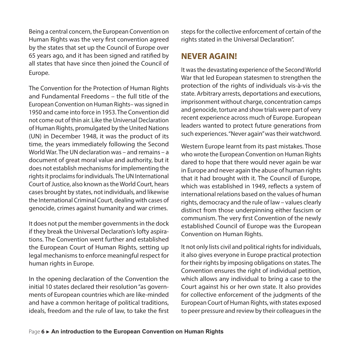Being a central concern, the European Convention on Human Rights was the very first convention agreed by the states that set up the Council of Europe over 65 years ago, and it has been signed and ratified by all states that have since then joined the Council of Europe.

The Convention for the Protection of Human Rights and Fundamental Freedoms – the full title of the European Convention on Human Rights– was signed in 1950 and came into force in 1953. The Convention did not come out of thin air. Like the Universal Declaration of Human Rights, promulgated by the United Nations (UN) in December 1948, it was the product of its time, the years immediately following the Second World War. The UN declaration was – and remains – a document of great moral value and authority, but it does not establish mechanisms for implementing the rights it proclaims for individuals. The UN International Court of Justice, also known as the World Court, hears cases brought by states, not individuals, and likewise the International Criminal Court, dealing with cases of genocide, crimes against humanity and war crimes.

It does not put the member governments in the dock if they break the Universal Declaration's lofty aspirations. The Convention went further and established the European Court of Human Rights, setting up legal mechanisms to enforce meaningful respect for human rights in Europe.

In the opening declaration of the Convention the initial 10 states declared their resolution "as governments of European countries which are like-minded and have a common heritage of political traditions, ideals, freedom and the rule of law, to take the first steps for the collective enforcement of certain of the rights stated in the Universal Declaration".

#### **NEVER AGAIN!**

It was the devastating experience of the Second World War that led European statesmen to strengthen the protection of the rights of individuals vis-à-vis the state. Arbitrary arrests, deportations and executions, imprisonment without charge, concentration camps and genocide, torture and show trials were part of very recent experience across much of Europe. European leaders wanted to protect future generations from such experiences. "Never again" was their watchword.

Western Europe learnt from its past mistakes. Those who wrote the European Convention on Human Rights dared to hope that there would never again be war in Europe and never again the abuse of human rights that it had brought with it. The Council of Europe, which was established in 1949, reflects a system of international relations based on the values of human rights, democracy and the rule of law – values clearly distinct from those underpinning either fascism or communism. The very first Convention of the newly established Council of Europe was the European Convention on Human Rights.

It not only lists civil and political rights for individuals, it also gives everyone in Europe practical protection for their rights by imposing obligations on states. The Convention ensures the right of individual petition, which allows any individual to bring a case to the Court against his or her own state. It also provides for collective enforcement of the judgments of the European Court of Human Rights, with states exposed to peer pressure and review by their colleagues in the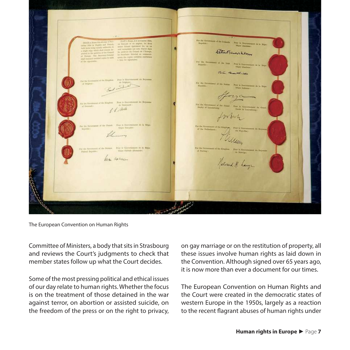Returned Key leva Valeria Nelvard H. Large

The European Convention on Human Rights

Committee of Ministers, a body that sits in Strasbourg and reviews the Court's judgments to check that member states follow up what the Court decides.

Some of the most pressing political and ethical issues of our day relate to human rights. Whether the focus is on the treatment of those detained in the war against terror, on abortion or assisted suicide, on the freedom of the press or on the right to privacy, on gay marriage or on the restitution of property, all these issues involve human rights as laid down in the Convention. Although signed over 65 years ago, it is now more than ever a document for our times.

The European Convention on Human Rights and the Court were created in the democratic states of western Europe in the 1950s, largely as a reaction to the recent flagrant abuses of human rights under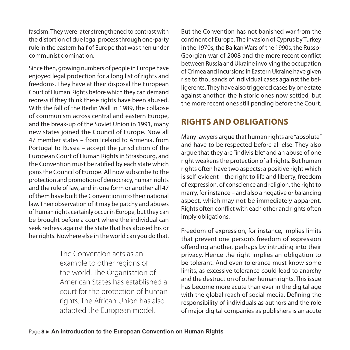fascism. They were later strengthened to contrast with the distortion of due legal process through one-party rule in the eastern half of Europe that was then under communist domination.

Since then, growing numbers of people in Europe have enjoyed legal protection for a long list of rights and freedoms. They have at their disposal the European Court of Human Rights before which they can demand redress if they think these rights have been abused. With the fall of the Berlin Wall in 1989, the collapse of communism across central and eastern Europe, and the break-up of the Soviet Union in 1991, many new states joined the Council of Europe. Now all 47 member states – from Iceland to Armenia, from Portugal to Russia – accept the jurisdiction of the European Court of Human Rights in Strasbourg, and the Convention must be ratified by each state which joins the Council of Europe. All now subscribe to the protection and promotion of democracy, human rights and the rule of law, and in one form or another all 47 of them have built the Convention into their national law. Their observation of it may be patchy and abuses of human rights certainly occur in Europe, but they can be brought before a court where the individual can seek redress against the state that has abused his or her rights. Nowhere else in the world can you do that.

> The Convention acts as an example to other regions of the world. The Organisation of American States has established a court for the protection of human rights. The African Union has also adapted the European model.

But the Convention has not banished war from the continent of Europe. The invasion of Cyprus by Turkey in the 1970s, the Balkan Wars of the 1990s, the Russo-Georgian war of 2008 and the more recent conflict between Russia and Ukraine involving the occupation of Crimea and incursions in Eastern Ukraine have given rise to thousands of individual cases against the belligerents. They have also triggered cases by one state against another, the historic ones now settled, but the more recent ones still pending before the Court.

# **RIGHTS AND OBLIGATIONS**

Many lawyers argue that human rights are "absolute" and have to be respected before all else. They also argue that they are "indivisible" and an abuse of one right weakens the protection of all rights. But human rights often have two aspects: a positive right which is self-evident – the right to life and liberty, freedom of expression, of conscience and religion, the right to marry, for instance – and also a negative or balancing aspect, which may not be immediately apparent. Rights often conflict with each other and rights often imply obligations.

Freedom of expression, for instance, implies limits that prevent one person's freedom of expression offending another, perhaps by intruding into their privacy. Hence the right implies an obligation to be tolerant. And even tolerance must know some limits, as excessive tolerance could lead to anarchy and the destruction of other human rights. This issue has become more acute than ever in the digital age with the global reach of social media. Defining the responsibility of individuals as authors and the role of major digital companies as publishers is an acute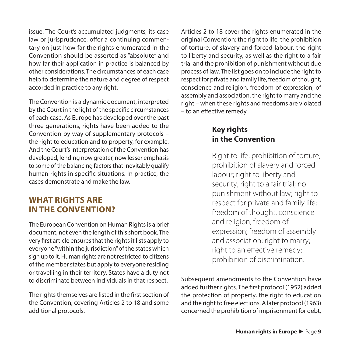issue. The Court's accumulated judgments, its case law or jurisprudence, offer a continuing commentary on just how far the rights enumerated in the Convention should be asserted as "absolute" and how far their application in practice is balanced by other considerations. The circumstances of each case help to determine the nature and degree of respect accorded in practice to any right.

The Convention is a dynamic document, interpreted by the Court in the light of the specific circumstances of each case. As Europe has developed over the past three generations, rights have been added to the Convention by way of supplementary protocols – the right to education and to property, for example. And the Court's interpretation of the Convention has developed, lending now greater, now lesser emphasis to some of the balancing factors that inevitably qualify human rights in specific situations. In practice, the cases demonstrate and make the law.

# **WHAT RIGHTS ARE IN THE CONVENTION?**

The European Convention on Human Rights is a brief document, not even the length of this short book. The very first article ensures that the rights it lists apply to everyone "within the jurisdiction" of the states which sign up to it. Human rights are not restricted to citizens of the member states but apply to everyone residing or travelling in their territory. States have a duty not to discriminate between individuals in that respect.

The rights themselves are listed in the first section of the Convention, covering Articles 2 to 18 and some additional protocols.

Articles 2 to 18 cover the rights enumerated in the original Convention: the right to life, the prohibition of torture, of slavery and forced labour, the right to liberty and security, as well as the right to a fair trial and the prohibition of punishment without due process of law. The list goes on to include the right to respect for private and family life, freedom of thought, conscience and religion, freedom of expression, of assembly and association, the right to marry and the right – when these rights and freedoms are violated – to an effective remedy.

#### **Key rights in the Convention**

Right to life; prohibition of torture; prohibition of slavery and forced labour; right to liberty and security; right to a fair trial; no punishment without law; right to respect for private and family life; freedom of thought, conscience and religion; freedom of expression; freedom of assembly and association; right to marry; right to an effective remedy; prohibition of discrimination.

Subsequent amendments to the Convention have added further rights. The first protocol (1952) added the protection of property, the right to education and the right to free elections. A later protocol (1963) concerned the prohibition of imprisonment for debt,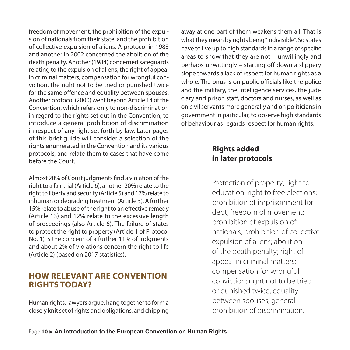freedom of movement, the prohibition of the expulsion of nationals from their state, and the prohibition of collective expulsion of aliens. A protocol in 1983 and another in 2002 concerned the abolition of the death penalty. Another (1984) concerned safeguards relating to the expulsion of aliens, the right of appeal in criminal matters, compensation for wrongful conviction, the right not to be tried or punished twice for the same offence and equality between spouses. Another protocol (2000) went beyond Article 14 of the Convention, which refers only to non-discrimination in regard to the rights set out in the Convention, to introduce a general prohibition of discrimination in respect of any right set forth by law. Later pages of this brief guide will consider a selection of the rights enumerated in the Convention and its various protocols, and relate them to cases that have come before the Court.

Almost 20% of Court judgments find a violation of the right to a fair trial (Article 6), another 20% relate to the right to liberty and security (Article 5) and 17% relate to inhuman or degrading treatment (Article 3). A further 15% relate to abuse of the right to an effective remedy (Article 13) and 12% relate to the excessive length of proceedings (also Article 6). The failure of states to protect the right to property (Article 1 of Protocol No. 1) is the concern of a further 11% of judgments and about 2% of violations concern the right to life (Article 2) (based on 2017 statistics).

#### **HOW RELEVANT ARE CONVENTION RIGHTS TODAY?**

Human rights, lawyers argue, hang together to form a closely knit set of rights and obligations, and chipping away at one part of them weakens them all. That is what they mean by rights being "indivisible". So states have to live up to high standards in a range of specific areas to show that they are not – unwillingly and perhaps unwittingly – starting off down a slippery slope towards a lack of respect for human rights as a whole. The onus is on public officials like the police and the military, the intelligence services, the judiciary and prison staff, doctors and nurses, as well as on civil servants more generally and on politicians in government in particular, to observe high standards of behaviour as regards respect for human rights.

# **Rights added in later protocols**

Protection of property; right to education; right to free elections; prohibition of imprisonment for debt; freedom of movement; prohibition of expulsion of nationals; prohibition of collective expulsion of aliens; abolition of the death penalty; right of appeal in criminal matters; compensation for wrongful conviction; right not to be tried or punished twice; equality between spouses; general prohibition of discrimination.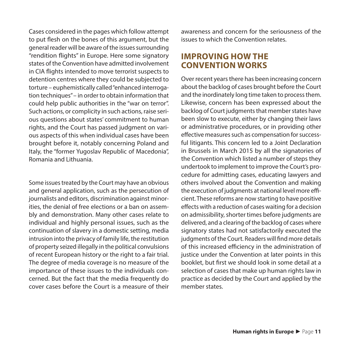Cases considered in the pages which follow attempt to put flesh on the bones of this argument, but the general reader will be aware of the issues surrounding "rendition flights" in Europe. Here some signatory states of the Convention have admitted involvement in CIA flights intended to move terrorist suspects to detention centres where they could be subjected to torture – euphemistically called "enhanced interrogation techniques" – in order to obtain information that could help public authorities in the "war on terror". Such actions, or complicity in such actions, raise serious questions about states' commitment to human rights, and the Court has passed judgment on various aspects of this when individual cases have been brought before it, notably concerning Poland and Italy, the "former Yugoslav Republic of Macedonia", Romania and Lithuania.

Some issues treated by the Court may have an obvious and general application, such as the persecution of journalists and editors, discrimination against minorities, the denial of free elections or a ban on assembly and demonstration. Many other cases relate to individual and highly personal issues, such as the continuation of slavery in a domestic setting, media intrusion into the privacy of family life, the restitution of property seized illegally in the political convulsions of recent European history or the right to a fair trial. The degree of media coverage is no measure of the importance of these issues to the individuals concerned. But the fact that the media frequently do cover cases before the Court is a measure of their awareness and concern for the seriousness of the issues to which the Convention relates.

### **IMPROVING HOW THE CONVENTION WORKS**

Over recent years there has been increasing concern about the backlog of cases brought before the Court and the inordinately long time taken to process them. Likewise, concern has been expressed about the backlog of Court judgments that member states have been slow to execute, either by changing their laws or administrative procedures, or in providing other effective measures such as compensation for successful litigants. This concern led to a Joint Declaration in Brussels in March 2015 by all the signatories of the Convention which listed a number of steps they undertook to implement to improve the Court's procedure for admitting cases, educating lawyers and others involved about the Convention and making the execution of judgments at national level more efficient. These reforms are now starting to have positive effects with a reduction of cases waiting for a decision on admissibility, shorter times before judgments are delivered, and a clearing of the backlog of cases where signatory states had not satisfactorily executed the judgments of the Court. Readers will find more details of this increased efficiency in the administration of justice under the Convention at later points in this booklet, but first we should look in some detail at a selection of cases that make up human rights law in practice as decided by the Court and applied by the member states.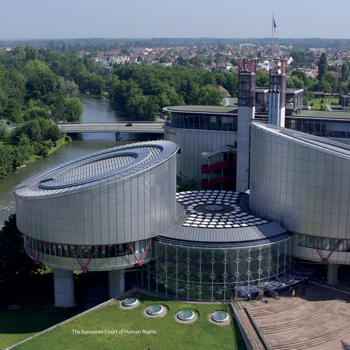The European Court of Human Rights

D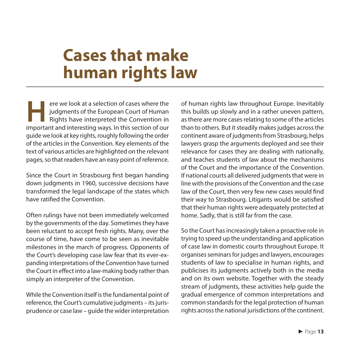# **Cases that make human rights law**

**Here** we look at a selection of cases where the judgments of the European Court of Human Rights have interpreted the Convention in important and interesting ways. In this section of our ere we look at a selection of cases where the judgments of the European Court of Human Rights have interpreted the Convention in guide we look at key rights, roughly following the order of the articles in the Convention. Key elements of the text of various articles are highlighted on the relevant pages, so that readers have an easy point of reference.

Since the Court in Strasbourg first began handing down judgments in 1960, successive decisions have transformed the legal landscape of the states which have ratified the Convention.

Often rulings have not been immediately welcomed by the governments of the day. Sometimes they have been reluctant to accept fresh rights. Many, over the course of time, have come to be seen as inevitable milestones in the march of progress. Opponents of the Court's developing case law fear that its ever-expanding interpretations of the Convention have turned the Court in effect into a law-making body rather than simply an interpreter of the Convention.

While the Convention itself is the fundamental point of reference, the Court's cumulative judgments – its jurisprudence or case law – guide the wider interpretation of human rights law throughout Europe. Inevitably this builds up slowly and in a rather uneven pattern, as there are more cases relating to some of the articles than to others. But it steadily makes judges across the continent aware of judgments from Strasbourg, helps lawyers grasp the arguments deployed and see their relevance for cases they are dealing with nationally, and teaches students of law about the mechanisms of the Court and the importance of the Convention. If national courts all delivered judgments that were in line with the provisions of the Convention and the case law of the Court, then very few new cases would find their way to Strasbourg. Litigants would be satisfied that their human rights were adequately protected at home. Sadly, that is still far from the case.

So the Court has increasingly taken a proactive role in trying to speed up the understanding and application of case law in domestic courts throughout Europe. It organises seminars for judges and lawyers, encourages students of law to specialise in human rights, and publicises its judgments actively both in the media and on its own website. Together with the steady stream of judgments, these activities help guide the gradual emergence of common interpretations and common standards for the legal protection of human rights across the national jurisdictions of the continent.